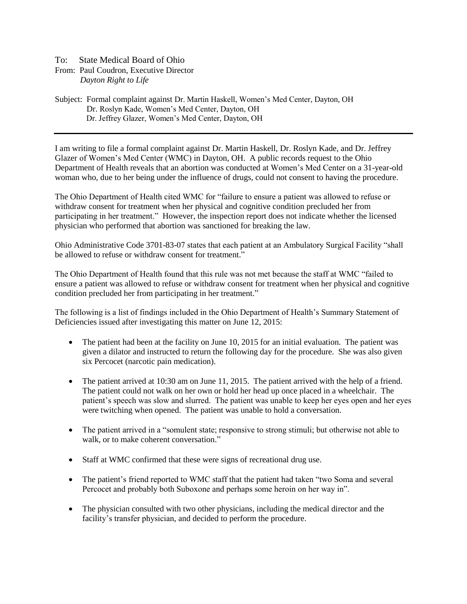## To: State Medical Board of Ohio

From: Paul Coudron, Executive Director *Dayton Right to Life*

Subject: Formal complaint against Dr. Martin Haskell, Women's Med Center, Dayton, OH Dr. Roslyn Kade, Women's Med Center, Dayton, OH Dr. Jeffrey Glazer, Women's Med Center, Dayton, OH

I am writing to file a formal complaint against Dr. Martin Haskell, Dr. Roslyn Kade, and Dr. Jeffrey Glazer of Women's Med Center (WMC) in Dayton, OH. A public records request to the Ohio Department of Health reveals that an abortion was conducted at Women's Med Center on a 31-year-old woman who, due to her being under the influence of drugs, could not consent to having the procedure.

The Ohio Department of Health cited WMC for "failure to ensure a patient was allowed to refuse or withdraw consent for treatment when her physical and cognitive condition precluded her from participating in her treatment." However, the inspection report does not indicate whether the licensed physician who performed that abortion was sanctioned for breaking the law.

Ohio Administrative Code 3701-83-07 states that each patient at an Ambulatory Surgical Facility "shall be allowed to refuse or withdraw consent for treatment."

The Ohio Department of Health found that this rule was not met because the staff at WMC "failed to ensure a patient was allowed to refuse or withdraw consent for treatment when her physical and cognitive condition precluded her from participating in her treatment."

The following is a list of findings included in the Ohio Department of Health's Summary Statement of Deficiencies issued after investigating this matter on June 12, 2015:

- The patient had been at the facility on June 10, 2015 for an initial evaluation. The patient was given a dilator and instructed to return the following day for the procedure. She was also given six Percocet (narcotic pain medication).
- The patient arrived at 10:30 am on June 11, 2015. The patient arrived with the help of a friend. The patient could not walk on her own or hold her head up once placed in a wheelchair. The patient's speech was slow and slurred. The patient was unable to keep her eyes open and her eyes were twitching when opened. The patient was unable to hold a conversation.
- The patient arrived in a "somulent state; responsive to strong stimuli; but otherwise not able to walk, or to make coherent conversation."
- Staff at WMC confirmed that these were signs of recreational drug use.
- The patient's friend reported to WMC staff that the patient had taken "two Soma and several Percocet and probably both Suboxone and perhaps some heroin on her way in".
- The physician consulted with two other physicians, including the medical director and the facility's transfer physician, and decided to perform the procedure.